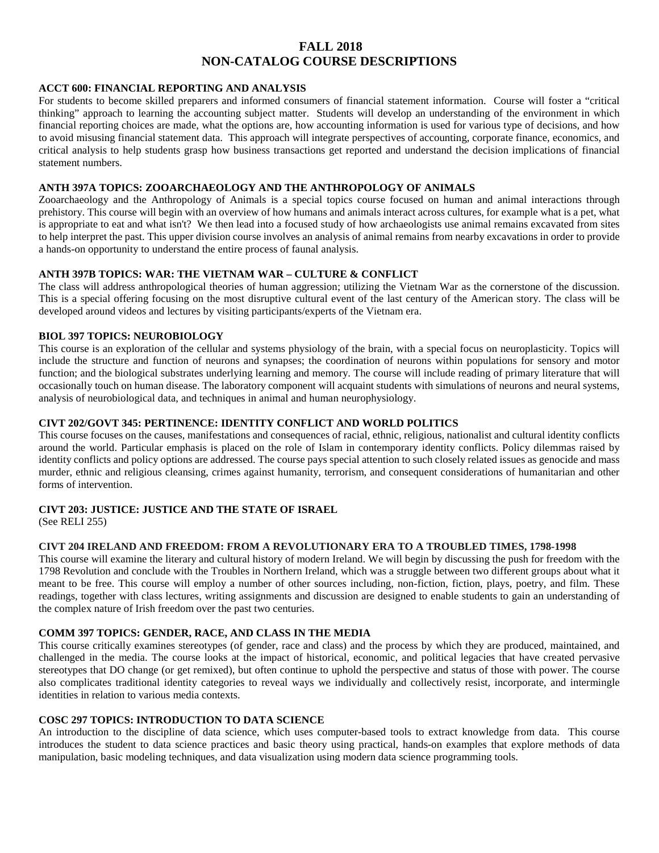# **FALL 2018 NON-CATALOG COURSE DESCRIPTIONS**

### **ACCT 600: FINANCIAL REPORTING AND ANALYSIS**

For students to become skilled preparers and informed consumers of financial statement information. Course will foster a "critical thinking" approach to learning the accounting subject matter. Students will develop an understanding of the environment in which financial reporting choices are made, what the options are, how accounting information is used for various type of decisions, and how to avoid misusing financial statement data. This approach will integrate perspectives of accounting, corporate finance, economics, and critical analysis to help students grasp how business transactions get reported and understand the decision implications of financial statement numbers.

### **ANTH 397A TOPICS: ZOOARCHAEOLOGY AND THE ANTHROPOLOGY OF ANIMALS**

Zooarchaeology and the Anthropology of Animals is a special topics course focused on human and animal interactions through prehistory. This course will begin with an overview of how humans and animals interact across cultures, for example what is a pet, what is appropriate to eat and what isn't? We then lead into a focused study of how archaeologists use animal remains excavated from sites to help interpret the past. This upper division course involves an analysis of animal remains from nearby excavations in order to provide a hands-on opportunity to understand the entire process of faunal analysis.

### **ANTH 397B TOPICS: WAR: THE VIETNAM WAR – CULTURE & CONFLICT**

The class will address anthropological theories of human aggression; utilizing the Vietnam War as the cornerstone of the discussion. This is a special offering focusing on the most disruptive cultural event of the last century of the American story. The class will be developed around videos and lectures by visiting participants/experts of the Vietnam era.

### **BIOL 397 TOPICS: NEUROBIOLOGY**

This course is an exploration of the cellular and systems physiology of the brain, with a special focus on neuroplasticity. Topics will include the structure and function of neurons and synapses; the coordination of neurons within populations for sensory and motor function; and the biological substrates underlying learning and memory. The course will include reading of primary literature that will occasionally touch on human disease. The laboratory component will acquaint students with simulations of neurons and neural systems, analysis of neurobiological data, and techniques in animal and human neurophysiology.

# **CIVT 202/GOVT 345: PERTINENCE: IDENTITY CONFLICT AND WORLD POLITICS**

This course focuses on the causes, manifestations and consequences of racial, ethnic, religious, nationalist and cultural identity conflicts around the world. Particular emphasis is placed on the role of Islam in contemporary identity conflicts. Policy dilemmas raised by identity conflicts and policy options are addressed. The course pays special attention to such closely related issues as genocide and mass murder, ethnic and religious cleansing, crimes against humanity, terrorism, and consequent considerations of humanitarian and other forms of intervention.

## **CIVT 203: JUSTICE: JUSTICE AND THE STATE OF ISRAEL**

(See RELI 255)

### **CIVT 204 IRELAND AND FREEDOM: FROM A REVOLUTIONARY ERA TO A TROUBLED TIMES, 1798-1998**

This course will examine the literary and cultural history of modern Ireland. We will begin by discussing the push for freedom with the 1798 Revolution and conclude with the Troubles in Northern Ireland, which was a struggle between two different groups about what it meant to be free. This course will employ a number of other sources including, non-fiction, fiction, plays, poetry, and film. These readings, together with class lectures, writing assignments and discussion are designed to enable students to gain an understanding of the complex nature of Irish freedom over the past two centuries.

# **COMM 397 TOPICS: GENDER, RACE, AND CLASS IN THE MEDIA**

This course critically examines stereotypes (of gender, race and class) and the process by which they are produced, maintained, and challenged in the media. The course looks at the impact of historical, economic, and political legacies that have created pervasive stereotypes that DO change (or get remixed), but often continue to uphold the perspective and status of those with power. The course also complicates traditional identity categories to reveal ways we individually and collectively resist, incorporate, and intermingle identities in relation to various media contexts.

## **COSC 297 TOPICS: INTRODUCTION TO DATA SCIENCE**

An introduction to the discipline of data science, which uses computer-based tools to extract knowledge from data. This course introduces the student to data science practices and basic theory using practical, hands-on examples that explore methods of data manipulation, basic modeling techniques, and data visualization using modern data science programming tools.